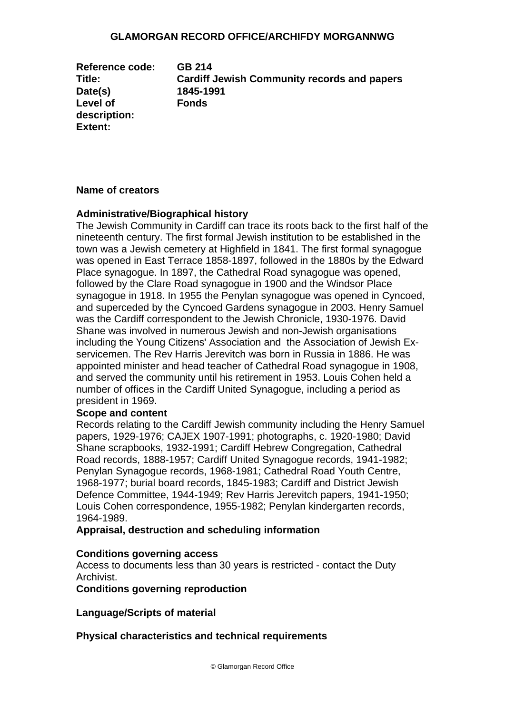#### **GLAMORGAN RECORD OFFICE/ARCHIFDY MORGANNWG**

**Reference code: GB 214 Date(s) 1845-1991 Level of description: Extent:** 

**Title: Cardiff Jewish Community records and papers Fonds** 

#### **Name of creators**

#### **Administrative/Biographical history**

The Jewish Community in Cardiff can trace its roots back to the first half of the nineteenth century. The first formal Jewish institution to be established in the town was a Jewish cemetery at Highfield in 1841. The first formal synagogue was opened in East Terrace 1858-1897, followed in the 1880s by the Edward Place synagogue. In 1897, the Cathedral Road synagogue was opened, followed by the Clare Road synagogue in 1900 and the Windsor Place synagogue in 1918. In 1955 the Penylan synagogue was opened in Cyncoed, and superceded by the Cyncoed Gardens synagogue in 2003. Henry Samuel was the Cardiff correspondent to the Jewish Chronicle, 1930-1976. David Shane was involved in numerous Jewish and non-Jewish organisations including the Young Citizens' Association and the Association of Jewish Exservicemen. The Rev Harris Jerevitch was born in Russia in 1886. He was appointed minister and head teacher of Cathedral Road synagogue in 1908, and served the community until his retirement in 1953. Louis Cohen held a number of offices in the Cardiff United Synagogue, including a period as president in 1969.

#### **Scope and content**

Records relating to the Cardiff Jewish community including the Henry Samuel papers, 1929-1976; CAJEX 1907-1991; photographs, c. 1920-1980; David Shane scrapbooks, 1932-1991; Cardiff Hebrew Congregation, Cathedral Road records, 1888-1957; Cardiff United Synagogue records, 1941-1982; Penylan Synagogue records, 1968-1981; Cathedral Road Youth Centre, 1968-1977; burial board records, 1845-1983; Cardiff and District Jewish Defence Committee, 1944-1949; Rev Harris Jerevitch papers, 1941-1950; Louis Cohen correspondence, 1955-1982; Penylan kindergarten records, 1964-1989.

**Appraisal, destruction and scheduling information** 

#### **Conditions governing access**

Access to documents less than 30 years is restricted - contact the Duty Archivist.

**Conditions governing reproduction** 

**Language/Scripts of material** 

**Physical characteristics and technical requirements**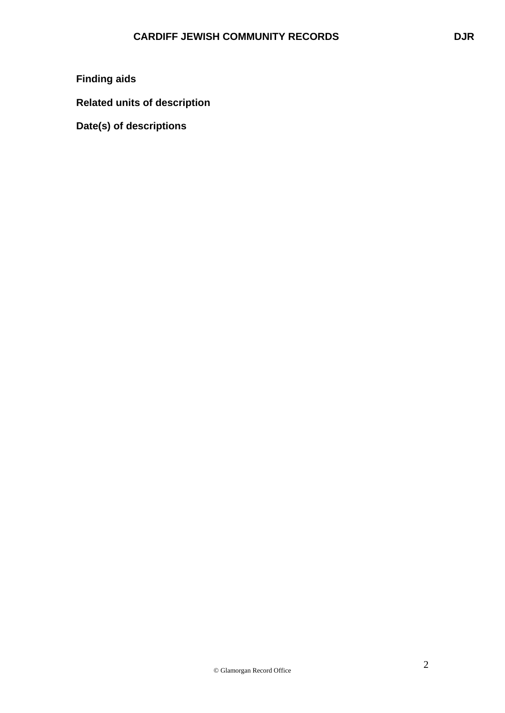# **Finding aids**

**Related units of description** 

**Date(s) of descriptions**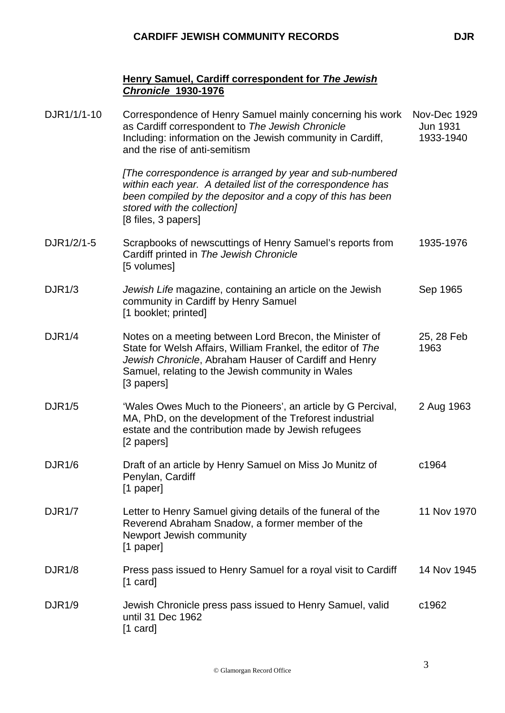### **Henry Samuel, Cardiff correspondent for** *The Jewish Chronicle* **1930-1976**

| DJR1/1/1-10   | Correspondence of Henry Samuel mainly concerning his work<br>as Cardiff correspondent to The Jewish Chronicle<br>Including: information on the Jewish community in Cardiff,<br>and the rise of anti-semitism                                       | <b>Nov-Dec 1929</b><br><b>Jun 1931</b><br>1933-1940 |
|---------------|----------------------------------------------------------------------------------------------------------------------------------------------------------------------------------------------------------------------------------------------------|-----------------------------------------------------|
|               | [The correspondence is arranged by year and sub-numbered<br>within each year. A detailed list of the correspondence has<br>been compiled by the depositor and a copy of this has been<br>stored with the collection]<br>[8 files, 3 papers]        |                                                     |
| DJR1/2/1-5    | Scrapbooks of newscuttings of Henry Samuel's reports from<br>Cardiff printed in The Jewish Chronicle<br>[5 volumes]                                                                                                                                | 1935-1976                                           |
| DJR1/3        | Jewish Life magazine, containing an article on the Jewish<br>community in Cardiff by Henry Samuel<br>[1 booklet; printed]                                                                                                                          | Sep 1965                                            |
| DJR1/4        | Notes on a meeting between Lord Brecon, the Minister of<br>State for Welsh Affairs, William Frankel, the editor of The<br>Jewish Chronicle, Abraham Hauser of Cardiff and Henry<br>Samuel, relating to the Jewish community in Wales<br>[3 papers] | 25, 28 Feb<br>1963                                  |
| <b>DJR1/5</b> | 'Wales Owes Much to the Pioneers', an article by G Percival,<br>MA, PhD, on the development of the Treforest industrial<br>estate and the contribution made by Jewish refugees<br>[2 papers]                                                       | 2 Aug 1963                                          |
| <b>DJR1/6</b> | Draft of an article by Henry Samuel on Miss Jo Munitz of<br>Penylan, Cardiff<br>[1 paper]                                                                                                                                                          | c1964                                               |
| <b>DJR1/7</b> | Letter to Henry Samuel giving details of the funeral of the<br>Reverend Abraham Snadow, a former member of the<br>Newport Jewish community<br>[1 paper]                                                                                            | 11 Nov 1970                                         |
| <b>DJR1/8</b> | Press pass issued to Henry Samuel for a royal visit to Cardiff<br>$[1 \text{ card}]$                                                                                                                                                               | 14 Nov 1945                                         |
| <b>DJR1/9</b> | Jewish Chronicle press pass issued to Henry Samuel, valid<br>until 31 Dec 1962<br>$[1 \text{ card}]$                                                                                                                                               | c1962                                               |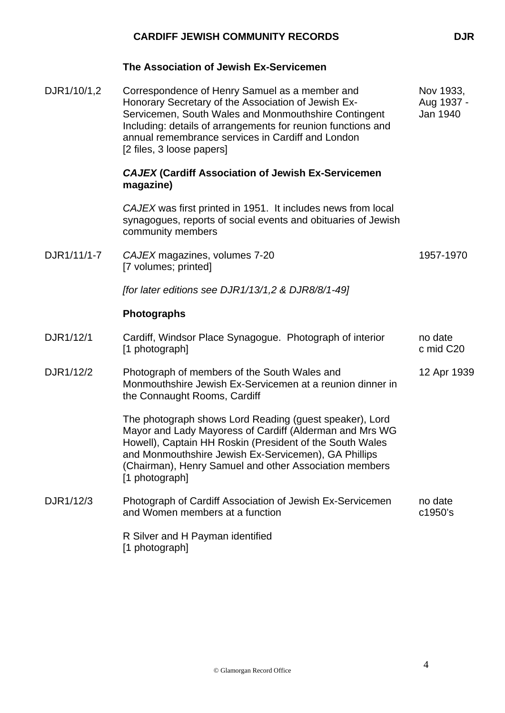|             | <b>CARDIFF JEWISH COMMUNITY RECORDS</b>                                                                                                                                                                                                                                                                            | <b>DJR</b>                          |
|-------------|--------------------------------------------------------------------------------------------------------------------------------------------------------------------------------------------------------------------------------------------------------------------------------------------------------------------|-------------------------------------|
|             | The Association of Jewish Ex-Servicemen                                                                                                                                                                                                                                                                            |                                     |
| DJR1/10/1,2 | Correspondence of Henry Samuel as a member and<br>Honorary Secretary of the Association of Jewish Ex-<br>Servicemen, South Wales and Monmouthshire Contingent<br>Including: details of arrangements for reunion functions and<br>annual remembrance services in Cardiff and London<br>[2 files, 3 loose papers]    | Nov 1933,<br>Aug 1937 -<br>Jan 1940 |
|             | <b>CAJEX (Cardiff Association of Jewish Ex-Servicemen</b><br>magazine)                                                                                                                                                                                                                                             |                                     |
|             | CAJEX was first printed in 1951. It includes news from local<br>synagogues, reports of social events and obituaries of Jewish<br>community members                                                                                                                                                                 |                                     |
| DJR1/11/1-7 | CAJEX magazines, volumes 7-20<br>[7 volumes; printed]                                                                                                                                                                                                                                                              | 1957-1970                           |
|             | [for later editions see DJR1/13/1,2 & DJR8/8/1-49]                                                                                                                                                                                                                                                                 |                                     |
|             | <b>Photographs</b>                                                                                                                                                                                                                                                                                                 |                                     |
| DJR1/12/1   | Cardiff, Windsor Place Synagogue. Photograph of interior<br>[1 photograph]                                                                                                                                                                                                                                         | no date<br>c mid C20                |
| DJR1/12/2   | Photograph of members of the South Wales and<br>Monmouthshire Jewish Ex-Servicemen at a reunion dinner in<br>the Connaught Rooms, Cardiff                                                                                                                                                                          | 12 Apr 1939                         |
|             | The photograph shows Lord Reading (guest speaker), Lord<br>Mayor and Lady Mayoress of Cardiff (Alderman and Mrs WG<br>Howell), Captain HH Roskin (President of the South Wales<br>and Monmouthshire Jewish Ex-Servicemen), GA Phillips<br>(Chairman), Henry Samuel and other Association members<br>[1 photograph] |                                     |
| DJR1/12/3   | Photograph of Cardiff Association of Jewish Ex-Servicemen<br>and Women members at a function                                                                                                                                                                                                                       | no date<br>c1950's                  |
|             | R Silver and H Payman identified<br>[1 photograph]                                                                                                                                                                                                                                                                 |                                     |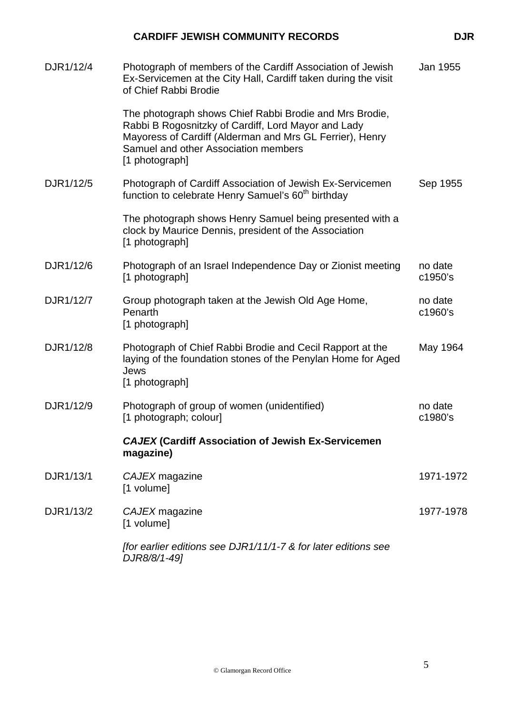#### DJR1/12/4 Photograph of members of the Cardiff Association of Jewish Ex-Servicemen at the City Hall, Cardiff taken during the visit of Chief Rabbi Brodie The photograph shows Chief Rabbi Brodie and Mrs Brodie, Rabbi B Rogosnitzky of Cardiff, Lord Mayor and Lady Mayoress of Cardiff (Alderman and Mrs GL Ferrier), Henry Samuel and other Association members [1 photograph] Jan 1955 DJR1/12/5 Photograph of Cardiff Association of Jewish Ex-Servicemen function to celebrate Henry Samuel's 60<sup>th</sup> birthday The photograph shows Henry Samuel being presented with a clock by Maurice Dennis, president of the Association [1 photograph] Sep 1955 DJR1/12/6 Photograph of an Israel Independence Day or Zionist meeting [1 photograph] no date c1950's DJR1/12/7 Group photograph taken at the Jewish Old Age Home, Penarth [1 photograph] no date c1960's DJR1/12/8 Photograph of Chief Rabbi Brodie and Cecil Rapport at the laying of the foundation stones of the Penylan Home for Aged Jews [1 photograph] May 1964 DJR1/12/9 Photograph of group of women (unidentified) [1 photograph; colour] no date c1980's *CAJEX* **(Cardiff Association of Jewish Ex-Servicemen magazine)**  DJR1/13/1 *CAJEX* magazine [1 volume] 1971-1972 DJR1/13/2 *CAJEX* magazine [1 volume] 1977-1978

**CARDIFF JEWISH COMMUNITY RECORDS DUR** 

*[for earlier editions see DJR1/11/1-7 & for later editions see DJR8/8/1-49]*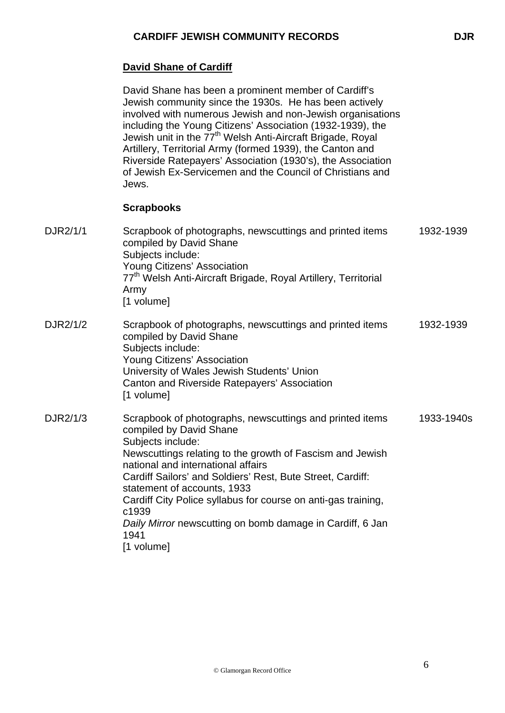### **David Shane of Cardiff**

David Shane has been a prominent member of Cardiff's Jewish community since the 1930s. He has been actively involved with numerous Jewish and non-Jewish organisations including the Young Citizens' Association (1932-1939), the Jewish unit in the  $77^{\text{th}}$  Welsh Anti-Aircraft Brigade, Royal Artillery, Territorial Army (formed 1939), the Canton and Riverside Ratepayers' Association (1930's), the Association of Jewish Ex-Servicemen and the Council of Christians and Jews.

#### **Scrapbooks**

DJR2/1/1 Scrapbook of photographs, newscuttings and printed items compiled by David Shane Subjects include: Young Citizens' Association 77<sup>th</sup> Welsh Anti-Aircraft Brigade, Royal Artillery, Territorial Army [1 volume] 1932-1939 DJR2/1/2 Scrapbook of photographs, newscuttings and printed items compiled by David Shane Subjects include: Young Citizens' Association University of Wales Jewish Students' Union Canton and Riverside Ratepayers' Association [1 volume] 1932-1939 DJR2/1/3 Scrapbook of photographs, newscuttings and printed items compiled by David Shane Subjects include: Newscuttings relating to the growth of Fascism and Jewish national and international affairs Cardiff Sailors' and Soldiers' Rest, Bute Street, Cardiff: statement of accounts, 1933 Cardiff City Police syllabus for course on anti-gas training, c1939 *Daily Mirror* newscutting on bomb damage in Cardiff, 6 Jan 1941 [1 volume] 1933-1940s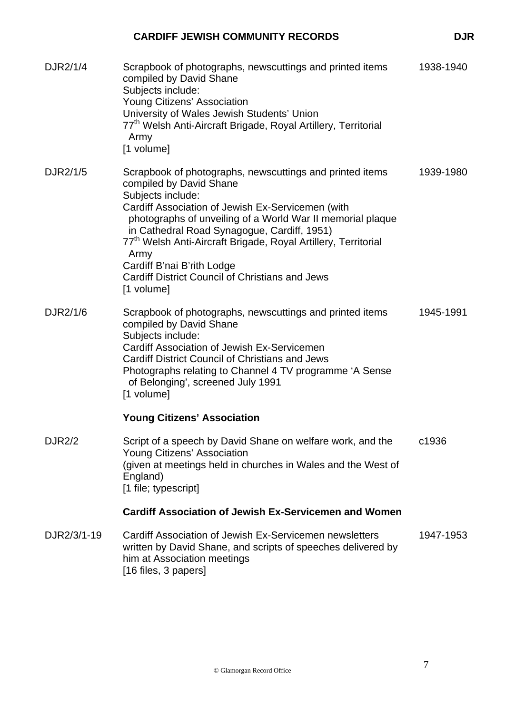| DJR2/1/4      | Scrapbook of photographs, newscuttings and printed items<br>compiled by David Shane<br>Subjects include:<br>Young Citizens' Association<br>University of Wales Jewish Students' Union<br>77 <sup>th</sup> Welsh Anti-Aircraft Brigade, Royal Artillery, Territorial<br>Army<br>[1 volume]                                                                                                                                                                              | 1938-1940 |
|---------------|------------------------------------------------------------------------------------------------------------------------------------------------------------------------------------------------------------------------------------------------------------------------------------------------------------------------------------------------------------------------------------------------------------------------------------------------------------------------|-----------|
| DJR2/1/5      | Scrapbook of photographs, newscuttings and printed items<br>compiled by David Shane<br>Subjects include:<br>Cardiff Association of Jewish Ex-Servicemen (with<br>photographs of unveiling of a World War II memorial plaque<br>in Cathedral Road Synagogue, Cardiff, 1951)<br>77 <sup>th</sup> Welsh Anti-Aircraft Brigade, Royal Artillery, Territorial<br>Army<br>Cardiff B'nai B'rith Lodge<br><b>Cardiff District Council of Christians and Jews</b><br>[1 volume] | 1939-1980 |
| DJR2/1/6      | Scrapbook of photographs, newscuttings and printed items<br>compiled by David Shane<br>Subjects include:<br>Cardiff Association of Jewish Ex-Servicemen<br><b>Cardiff District Council of Christians and Jews</b><br>Photographs relating to Channel 4 TV programme 'A Sense<br>of Belonging', screened July 1991<br>[1 volume]<br><b>Young Citizens' Association</b>                                                                                                  | 1945-1991 |
| <b>DJR2/2</b> | Script of a speech by David Shane on welfare work, and the<br>Young Citizens' Association<br>(given at meetings held in churches in Wales and the West of<br>England)<br>[1 file; typescript]                                                                                                                                                                                                                                                                          | c1936     |
|               | <b>Cardiff Association of Jewish Ex-Servicemen and Women</b>                                                                                                                                                                                                                                                                                                                                                                                                           |           |
| DJR2/3/1-19   | Cardiff Association of Jewish Ex-Servicemen newsletters<br>written by David Shane, and scripts of speeches delivered by<br>him at Association meetings<br>[16 files, 3 papers]                                                                                                                                                                                                                                                                                         | 1947-1953 |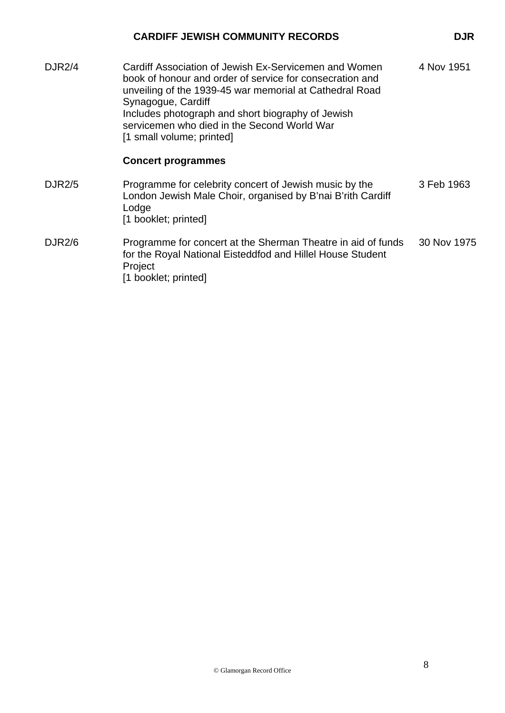| <b>DJR2/4</b> | Cardiff Association of Jewish Ex-Servicemen and Women<br>book of honour and order of service for consecration and<br>unveiling of the 1939-45 war memorial at Cathedral Road<br>Synagogue, Cardiff<br>Includes photograph and short biography of Jewish<br>servicemen who died in the Second World War<br>[1 small volume; printed] | 4 Nov 1951  |
|---------------|-------------------------------------------------------------------------------------------------------------------------------------------------------------------------------------------------------------------------------------------------------------------------------------------------------------------------------------|-------------|
|               | <b>Concert programmes</b>                                                                                                                                                                                                                                                                                                           |             |
| <b>DJR2/5</b> | Programme for celebrity concert of Jewish music by the<br>London Jewish Male Choir, organised by B'nai B'rith Cardiff<br>Lodge<br>[1 booklet; printed]                                                                                                                                                                              | 3 Feb 1963  |
| <b>DJR2/6</b> | Programme for concert at the Sherman Theatre in aid of funds<br>for the Royal National Eisteddfod and Hillel House Student<br>Project<br>[1 booklet; printed]                                                                                                                                                                       | 30 Nov 1975 |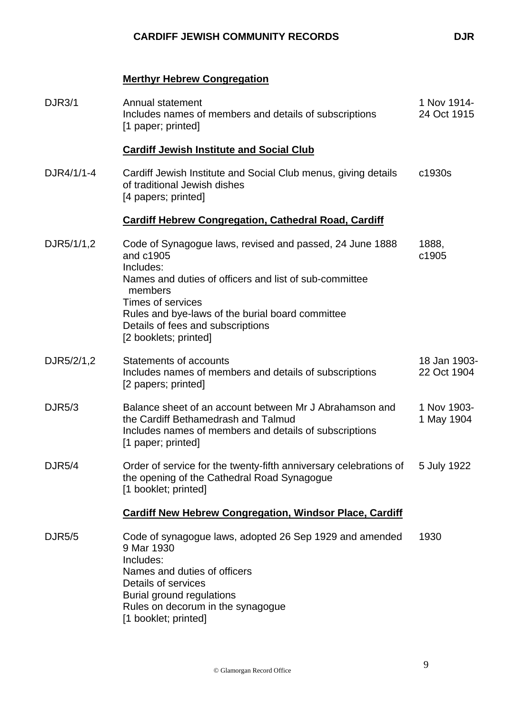### **Merthyr Hebrew Congregation**

| <b>DJR3/1</b> | Annual statement<br>Includes names of members and details of subscriptions<br>[1 paper; printed]                                                                                                                                                                                                      | 1 Nov 1914-<br>24 Oct 1915  |
|---------------|-------------------------------------------------------------------------------------------------------------------------------------------------------------------------------------------------------------------------------------------------------------------------------------------------------|-----------------------------|
|               | <b>Cardiff Jewish Institute and Social Club</b>                                                                                                                                                                                                                                                       |                             |
| DJR4/1/1-4    | Cardiff Jewish Institute and Social Club menus, giving details<br>of traditional Jewish dishes<br>[4 papers; printed]                                                                                                                                                                                 | c1930s                      |
|               | <b>Cardiff Hebrew Congregation, Cathedral Road, Cardiff</b>                                                                                                                                                                                                                                           |                             |
| DJR5/1/1,2    | Code of Synagogue laws, revised and passed, 24 June 1888<br>and c1905<br>Includes:<br>Names and duties of officers and list of sub-committee<br>members<br><b>Times of services</b><br>Rules and bye-laws of the burial board committee<br>Details of fees and subscriptions<br>[2 booklets; printed] | 1888,<br>c1905              |
| DJR5/2/1,2    | <b>Statements of accounts</b><br>Includes names of members and details of subscriptions<br>[2 papers; printed]                                                                                                                                                                                        | 18 Jan 1903-<br>22 Oct 1904 |
| <b>DJR5/3</b> | Balance sheet of an account between Mr J Abrahamson and<br>the Cardiff Bethamedrash and Talmud<br>Includes names of members and details of subscriptions<br>[1 paper; printed]                                                                                                                        | 1 Nov 1903-<br>1 May 1904   |
| <b>DJR5/4</b> | Order of service for the twenty-fifth anniversary celebrations of<br>the opening of the Cathedral Road Synagogue<br>[1 booklet; printed]                                                                                                                                                              | 5 July 1922                 |
|               | <b>Cardiff New Hebrew Congregation, Windsor Place, Cardiff</b>                                                                                                                                                                                                                                        |                             |
| <b>DJR5/5</b> | Code of synagogue laws, adopted 26 Sep 1929 and amended<br>9 Mar 1930<br>Includes:<br>Names and duties of officers<br>Details of services<br>Burial ground regulations<br>Rules on decorum in the synagogue<br>[1 booklet; printed]                                                                   | 1930                        |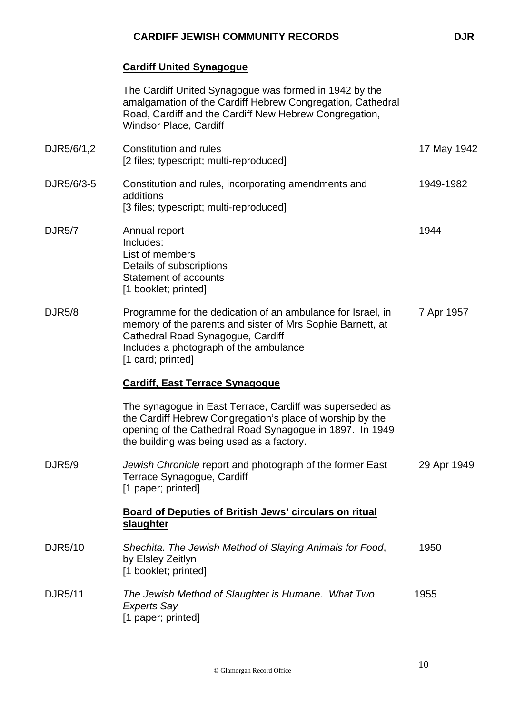# **Cardiff United Synagogue**

|                | The Cardiff United Synagogue was formed in 1942 by the<br>amalgamation of the Cardiff Hebrew Congregation, Cathedral<br>Road, Cardiff and the Cardiff New Hebrew Congregation,<br><b>Windsor Place, Cardiff</b>                |             |
|----------------|--------------------------------------------------------------------------------------------------------------------------------------------------------------------------------------------------------------------------------|-------------|
| DJR5/6/1,2     | Constitution and rules<br>[2 files; typescript; multi-reproduced]                                                                                                                                                              | 17 May 1942 |
| DJR5/6/3-5     | Constitution and rules, incorporating amendments and<br>additions<br>[3 files; typescript; multi-reproduced]                                                                                                                   | 1949-1982   |
| <b>DJR5/7</b>  | Annual report<br>Includes:<br>List of members<br>Details of subscriptions<br>Statement of accounts<br>[1 booklet; printed]                                                                                                     | 1944        |
| <b>DJR5/8</b>  | Programme for the dedication of an ambulance for Israel, in<br>memory of the parents and sister of Mrs Sophie Barnett, at<br>Cathedral Road Synagogue, Cardiff<br>Includes a photograph of the ambulance<br>[1 card; printed]  | 7 Apr 1957  |
|                | <b>Cardiff, East Terrace Synagogue</b>                                                                                                                                                                                         |             |
|                | The synagogue in East Terrace, Cardiff was superseded as<br>the Cardiff Hebrew Congregation's place of worship by the<br>opening of the Cathedral Road Synagogue in 1897. In 1949<br>the building was being used as a factory. |             |
| DJR5/9         | Jewish Chronicle report and photograph of the former East<br>Terrace Synagogue, Cardiff<br>[1 paper; printed]                                                                                                                  | 29 Apr 1949 |
|                | <b>Board of Deputies of British Jews' circulars on ritual</b><br>slaughter                                                                                                                                                     |             |
| DJR5/10        | Shechita. The Jewish Method of Slaying Animals for Food,<br>by Elsley Zeitlyn<br>[1 booklet; printed]                                                                                                                          | 1950        |
| <b>DJR5/11</b> | The Jewish Method of Slaughter is Humane. What Two<br><b>Experts Say</b><br>[1 paper; printed]                                                                                                                                 | 1955        |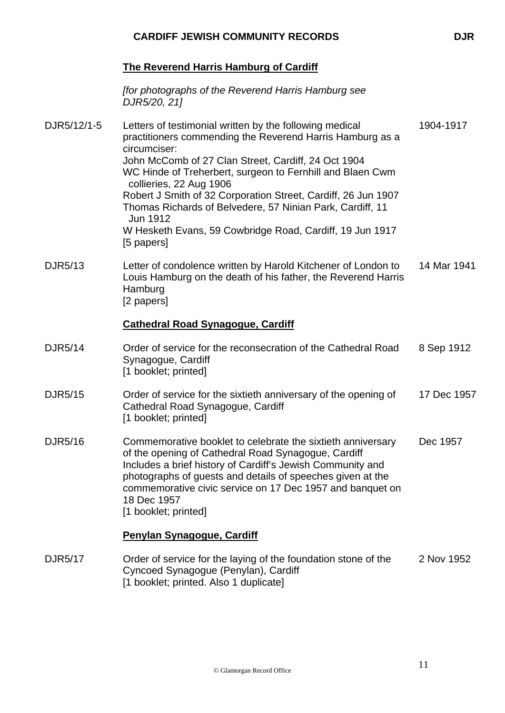### **The Reverend Harris Hamburg of Cardiff**

*[for photographs of the Reverend Harris Hamburg see DJR5/20, 21]* 

| DJR5/12/1-5    | Letters of testimonial written by the following medical<br>practitioners commending the Reverend Harris Hamburg as a<br>circumciser:                                                                                                                                                                                                               | 1904-1917   |
|----------------|----------------------------------------------------------------------------------------------------------------------------------------------------------------------------------------------------------------------------------------------------------------------------------------------------------------------------------------------------|-------------|
|                | John McComb of 27 Clan Street, Cardiff, 24 Oct 1904<br>WC Hinde of Treherbert, surgeon to Fernhill and Blaen Cwm<br>collieries, 22 Aug 1906<br>Robert J Smith of 32 Corporation Street, Cardiff, 26 Jun 1907<br>Thomas Richards of Belvedere, 57 Ninian Park, Cardiff, 11                                                                          |             |
|                | Jun 1912<br>W Hesketh Evans, 59 Cowbridge Road, Cardiff, 19 Jun 1917<br>[5 papers]                                                                                                                                                                                                                                                                 |             |
| <b>DJR5/13</b> | Letter of condolence written by Harold Kitchener of London to<br>Louis Hamburg on the death of his father, the Reverend Harris<br>Hamburg<br>[2 papers]                                                                                                                                                                                            | 14 Mar 1941 |
|                | <b>Cathedral Road Synagogue, Cardiff</b>                                                                                                                                                                                                                                                                                                           |             |
| <b>DJR5/14</b> | Order of service for the reconsecration of the Cathedral Road<br>Synagogue, Cardiff<br>[1 booklet; printed]                                                                                                                                                                                                                                        | 8 Sep 1912  |
| <b>DJR5/15</b> | Order of service for the sixtieth anniversary of the opening of<br>Cathedral Road Synagogue, Cardiff<br>[1 booklet; printed]                                                                                                                                                                                                                       | 17 Dec 1957 |
| <b>DJR5/16</b> | Commemorative booklet to celebrate the sixtieth anniversary<br>of the opening of Cathedral Road Synagogue, Cardiff<br>Includes a brief history of Cardiff's Jewish Community and<br>photographs of guests and details of speeches given at the<br>commemorative civic service on 17 Dec 1957 and banquet on<br>18 Dec 1957<br>[1 booklet; printed] | Dec 1957    |
|                | <b>Penylan Synagogue, Cardiff</b>                                                                                                                                                                                                                                                                                                                  |             |
| <b>DJR5/17</b> | Order of service for the laying of the foundation stone of the<br>Cyncoed Synagogue (Penylan), Cardiff<br>[1 booklet; printed. Also 1 duplicate]                                                                                                                                                                                                   | 2 Nov 1952  |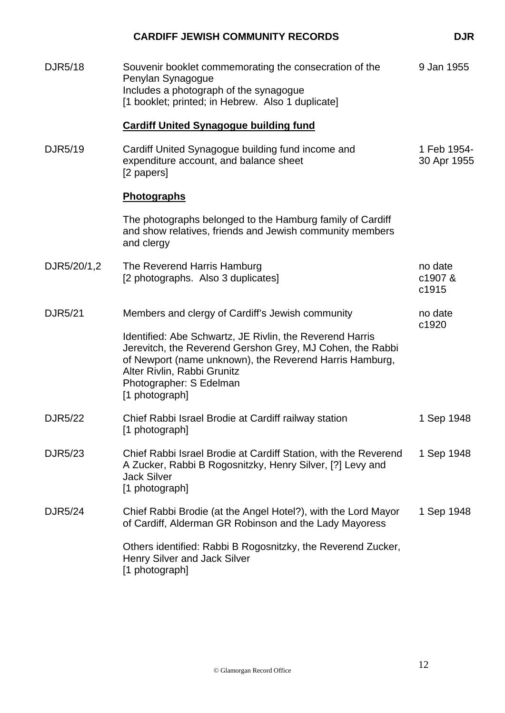|                | <b>CARDIFF JEWISH COMMUNITY RECORDS</b>                                                                                                                                                                                                                      | <b>DJR</b>                 |
|----------------|--------------------------------------------------------------------------------------------------------------------------------------------------------------------------------------------------------------------------------------------------------------|----------------------------|
| <b>DJR5/18</b> | Souvenir booklet commemorating the consecration of the<br>Penylan Synagogue<br>Includes a photograph of the synagogue<br>[1 booklet; printed; in Hebrew. Also 1 duplicate]                                                                                   | 9 Jan 1955                 |
|                | <b>Cardiff United Synagogue building fund</b>                                                                                                                                                                                                                |                            |
| DJR5/19        | Cardiff United Synagogue building fund income and<br>expenditure account, and balance sheet<br>[2 papers]                                                                                                                                                    | 1 Feb 1954-<br>30 Apr 1955 |
|                | Photographs                                                                                                                                                                                                                                                  |                            |
|                | The photographs belonged to the Hamburg family of Cardiff<br>and show relatives, friends and Jewish community members<br>and clergy                                                                                                                          |                            |
| DJR5/20/1,2    | The Reverend Harris Hamburg<br>[2 photographs. Also 3 duplicates]                                                                                                                                                                                            | no date<br>c1907&<br>c1915 |
| DJR5/21        | Members and clergy of Cardiff's Jewish community                                                                                                                                                                                                             | no date<br>c1920           |
|                | Identified: Abe Schwartz, JE Rivlin, the Reverend Harris<br>Jerevitch, the Reverend Gershon Grey, MJ Cohen, the Rabbi<br>of Newport (name unknown), the Reverend Harris Hamburg,<br>Alter Rivlin, Rabbi Grunitz<br>Photographer: S Edelman<br>[1 photograph] |                            |
| DJR5/22        | Chief Rabbi Israel Brodie at Cardiff railway station<br>[1 photograph]                                                                                                                                                                                       | 1 Sep 1948                 |
| DJR5/23        | Chief Rabbi Israel Brodie at Cardiff Station, with the Reverend<br>A Zucker, Rabbi B Rogosnitzky, Henry Silver, [?] Levy and<br><b>Jack Silver</b><br>[1 photograph]                                                                                         | 1 Sep 1948                 |
| DJR5/24        | Chief Rabbi Brodie (at the Angel Hotel?), with the Lord Mayor<br>of Cardiff, Alderman GR Robinson and the Lady Mayoress                                                                                                                                      | 1 Sep 1948                 |
|                | Others identified: Rabbi B Rogosnitzky, the Reverend Zucker,<br>Henry Silver and Jack Silver<br>[1 photograph]                                                                                                                                               |                            |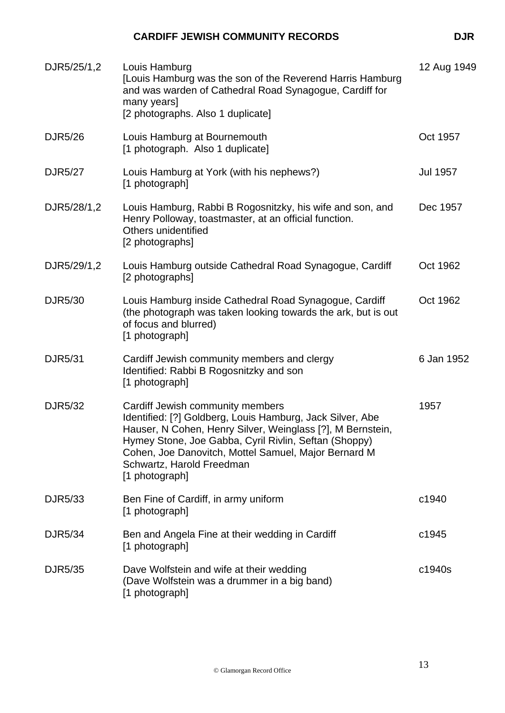| DJR5/25/1,2    | Louis Hamburg<br>[Louis Hamburg was the son of the Reverend Harris Hamburg<br>and was warden of Cathedral Road Synagogue, Cardiff for<br>many years]<br>[2 photographs. Also 1 duplicate]                                                                                                                                   | 12 Aug 1949     |
|----------------|-----------------------------------------------------------------------------------------------------------------------------------------------------------------------------------------------------------------------------------------------------------------------------------------------------------------------------|-----------------|
| DJR5/26        | Louis Hamburg at Bournemouth<br>[1 photograph. Also 1 duplicate]                                                                                                                                                                                                                                                            | Oct 1957        |
| <b>DJR5/27</b> | Louis Hamburg at York (with his nephews?)<br>[1 photograph]                                                                                                                                                                                                                                                                 | <b>Jul 1957</b> |
| DJR5/28/1,2    | Louis Hamburg, Rabbi B Rogosnitzky, his wife and son, and<br>Henry Polloway, toastmaster, at an official function.<br>Others unidentified<br>[2 photographs]                                                                                                                                                                | Dec 1957        |
| DJR5/29/1,2    | Louis Hamburg outside Cathedral Road Synagogue, Cardiff<br>[2 photographs]                                                                                                                                                                                                                                                  | Oct 1962        |
| <b>DJR5/30</b> | Louis Hamburg inside Cathedral Road Synagogue, Cardiff<br>(the photograph was taken looking towards the ark, but is out<br>of focus and blurred)<br>[1 photograph]                                                                                                                                                          | Oct 1962        |
| DJR5/31        | Cardiff Jewish community members and clergy<br>Identified: Rabbi B Rogosnitzky and son<br>[1 photograph]                                                                                                                                                                                                                    | 6 Jan 1952      |
| <b>DJR5/32</b> | Cardiff Jewish community members<br>Identified: [?] Goldberg, Louis Hamburg, Jack Silver, Abe<br>Hauser, N Cohen, Henry Silver, Weinglass [?], M Bernstein,<br>Hymey Stone, Joe Gabba, Cyril Rivlin, Seftan (Shoppy)<br>Cohen, Joe Danovitch, Mottel Samuel, Major Bernard M<br>Schwartz, Harold Freedman<br>[1 photograph] | 1957            |
| DJR5/33        | Ben Fine of Cardiff, in army uniform<br>[1 photograph]                                                                                                                                                                                                                                                                      | c1940           |
| DJR5/34        | Ben and Angela Fine at their wedding in Cardiff<br>[1 photograph]                                                                                                                                                                                                                                                           | c1945           |
| DJR5/35        | Dave Wolfstein and wife at their wedding<br>(Dave Wolfstein was a drummer in a big band)<br>[1 photograph]                                                                                                                                                                                                                  | c1940s          |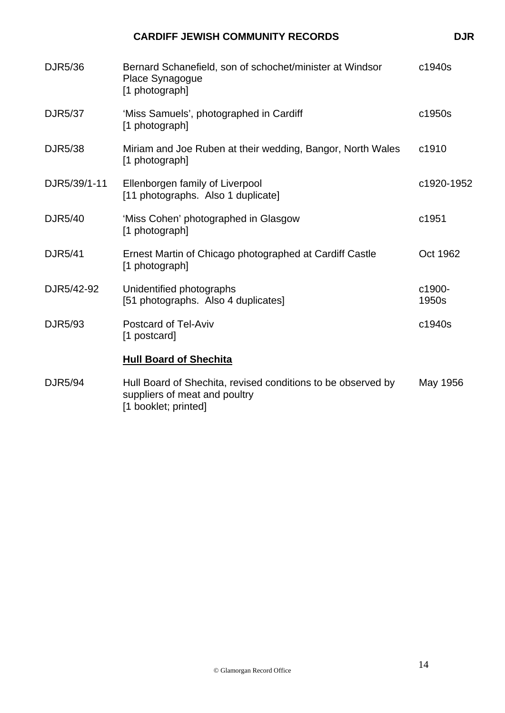| <b>DJR5/36</b> | Bernard Schanefield, son of schochet/minister at Windsor<br>Place Synagogue<br>[1 photograph] | c1940s          |
|----------------|-----------------------------------------------------------------------------------------------|-----------------|
| <b>DJR5/37</b> | 'Miss Samuels', photographed in Cardiff<br>[1 photograph]                                     | c1950s          |
| <b>DJR5/38</b> | Miriam and Joe Ruben at their wedding, Bangor, North Wales<br>[1 photograph]                  | c1910           |
| DJR5/39/1-11   | Ellenborgen family of Liverpool<br>[11 photographs. Also 1 duplicate]                         | c1920-1952      |
| <b>DJR5/40</b> | 'Miss Cohen' photographed in Glasgow<br>[1 photograph]                                        | c1951           |
| <b>DJR5/41</b> | Ernest Martin of Chicago photographed at Cardiff Castle<br>[1 photograph]                     | Oct 1962        |
| DJR5/42-92     | Unidentified photographs<br>[51 photographs. Also 4 duplicates]                               | c1900-<br>1950s |
| DJR5/93        | <b>Postcard of Tel-Aviv</b><br>[1 postcard]                                                   | c1940s          |
|                | <b>Hull Board of Shechita</b>                                                                 |                 |
| DJR5/94        | Hull Board of Shechita, revised conditions to be observed by<br>suppliers of meat and poultry | May 1956        |

[1 booklet; printed]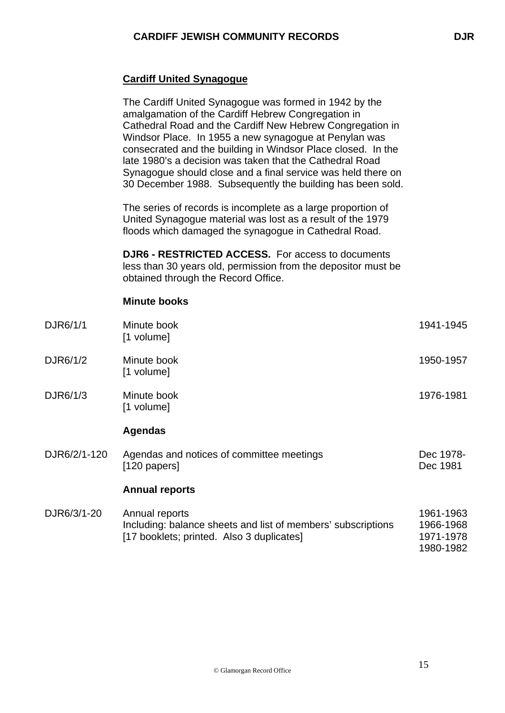### **Cardiff United Synagogue**

The Cardiff United Synagogue was formed in 1942 by the amalgamation of the Cardiff Hebrew Congregation in Cathedral Road and the Cardiff New Hebrew Congregation in Windsor Place. In 1955 a new synagogue at Penylan was consecrated and the building in Windsor Place closed. In the late 1980's a decision was taken that the Cathedral Road Synagogue should close and a final service was held there on 30 December 1988. Subsequently the building has been sold.

The series of records is incomplete as a large proportion of United Synagogue material was lost as a result of the 1979 floods which damaged the synagogue in Cathedral Road.

**DJR6 - RESTRICTED ACCESS.** For access to documents less than 30 years old, permission from the depositor must be obtained through the Record Office.

#### **Minute books**

| DJR6/1/1     | Minute book<br>[1 volume]                                                                                                   | 1941-1945                                        |
|--------------|-----------------------------------------------------------------------------------------------------------------------------|--------------------------------------------------|
| DJR6/1/2     | Minute book<br>[1 volume]                                                                                                   | 1950-1957                                        |
| DJR6/1/3     | Minute book<br>[1 volume]                                                                                                   | 1976-1981                                        |
|              | <b>Agendas</b>                                                                                                              |                                                  |
| DJR6/2/1-120 | Agendas and notices of committee meetings<br>$[120$ papers]                                                                 | Dec 1978-<br>Dec 1981                            |
|              | <b>Annual reports</b>                                                                                                       |                                                  |
| DJR6/3/1-20  | Annual reports<br>Including: balance sheets and list of members' subscriptions<br>[17 booklets; printed. Also 3 duplicates] | 1961-1963<br>1966-1968<br>1971-1978<br>1980-1982 |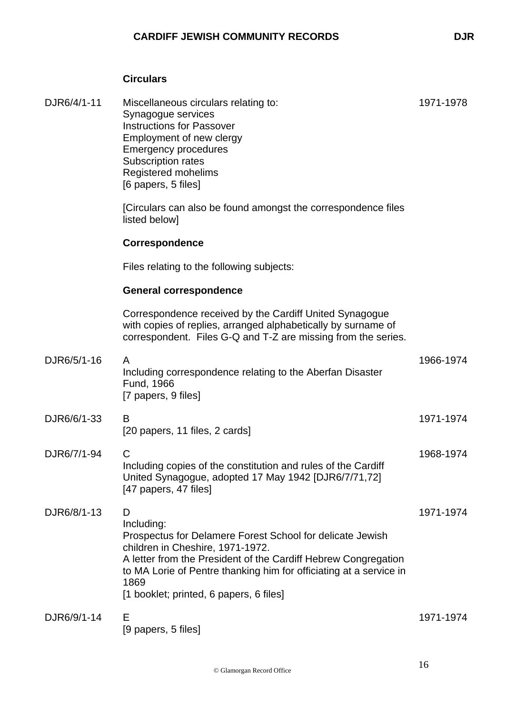### **Circulars**

| DJR6/4/1-11 | Miscellaneous circulars relating to:<br>Synagogue services<br><b>Instructions for Passover</b><br>Employment of new clergy<br><b>Emergency procedures</b><br>Subscription rates<br>Registered mohelims<br>[6 papers, 5 files]                                                                               | 1971-1978 |
|-------------|-------------------------------------------------------------------------------------------------------------------------------------------------------------------------------------------------------------------------------------------------------------------------------------------------------------|-----------|
|             | [Circulars can also be found amongst the correspondence files<br>listed below]                                                                                                                                                                                                                              |           |
|             | Correspondence                                                                                                                                                                                                                                                                                              |           |
|             | Files relating to the following subjects:                                                                                                                                                                                                                                                                   |           |
|             | <b>General correspondence</b>                                                                                                                                                                                                                                                                               |           |
|             | Correspondence received by the Cardiff United Synagogue<br>with copies of replies, arranged alphabetically by surname of<br>correspondent. Files G-Q and T-Z are missing from the series.                                                                                                                   |           |
| DJR6/5/1-16 | A<br>Including correspondence relating to the Aberfan Disaster<br>Fund, 1966<br>[7 papers, 9 files]                                                                                                                                                                                                         | 1966-1974 |
| DJR6/6/1-33 | B<br>[20 papers, 11 files, 2 cards]                                                                                                                                                                                                                                                                         | 1971-1974 |
| DJR6/7/1-94 | C<br>Including copies of the constitution and rules of the Cardiff<br>United Synagogue, adopted 17 May 1942 [DJR6/7/71,72]<br>[47 papers, 47 files]                                                                                                                                                         | 1968-1974 |
| DJR6/8/1-13 | D<br>Including:<br>Prospectus for Delamere Forest School for delicate Jewish<br>children in Cheshire, 1971-1972.<br>A letter from the President of the Cardiff Hebrew Congregation<br>to MA Lorie of Pentre thanking him for officiating at a service in<br>1869<br>[1 booklet; printed, 6 papers, 6 files] | 1971-1974 |
| DJR6/9/1-14 | Е<br>[9 papers, 5 files]                                                                                                                                                                                                                                                                                    | 1971-1974 |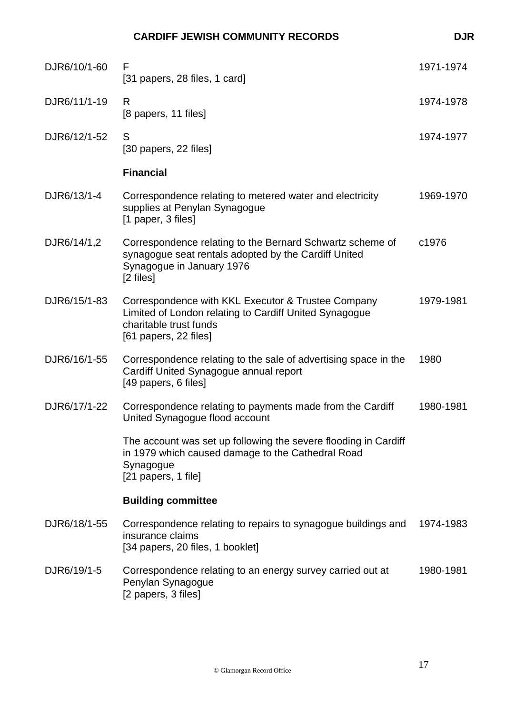| DJR6/10/1-60 | F<br>[31 papers, 28 files, 1 card]                                                                                                                              | 1971-1974 |
|--------------|-----------------------------------------------------------------------------------------------------------------------------------------------------------------|-----------|
| DJR6/11/1-19 | R<br>[8 papers, 11 files]                                                                                                                                       | 1974-1978 |
| DJR6/12/1-52 | S<br>[30 papers, 22 files]                                                                                                                                      | 1974-1977 |
|              | <b>Financial</b>                                                                                                                                                |           |
| DJR6/13/1-4  | Correspondence relating to metered water and electricity<br>supplies at Penylan Synagogue<br>[1 paper, 3 files]                                                 | 1969-1970 |
| DJR6/14/1,2  | Correspondence relating to the Bernard Schwartz scheme of<br>synagogue seat rentals adopted by the Cardiff United<br>Synagogue in January 1976<br>[2 files]     | c1976     |
| DJR6/15/1-83 | Correspondence with KKL Executor & Trustee Company<br>Limited of London relating to Cardiff United Synagogue<br>charitable trust funds<br>[61 papers, 22 files] | 1979-1981 |
| DJR6/16/1-55 | Correspondence relating to the sale of advertising space in the<br>Cardiff United Synagogue annual report<br>[49 papers, 6 files]                               | 1980      |
| DJR6/17/1-22 | Correspondence relating to payments made from the Cardiff<br>United Synagogue flood account                                                                     | 1980-1981 |
|              | The account was set up following the severe flooding in Cardiff<br>in 1979 which caused damage to the Cathedral Road<br>Synagogue<br>[21 papers, 1 file]        |           |
|              | <b>Building committee</b>                                                                                                                                       |           |
| DJR6/18/1-55 | Correspondence relating to repairs to synagogue buildings and<br>insurance claims<br>[34 papers, 20 files, 1 booklet]                                           | 1974-1983 |
| DJR6/19/1-5  | Correspondence relating to an energy survey carried out at                                                                                                      | 1980-1981 |

Penylan Synagogue [2 papers, 3 files]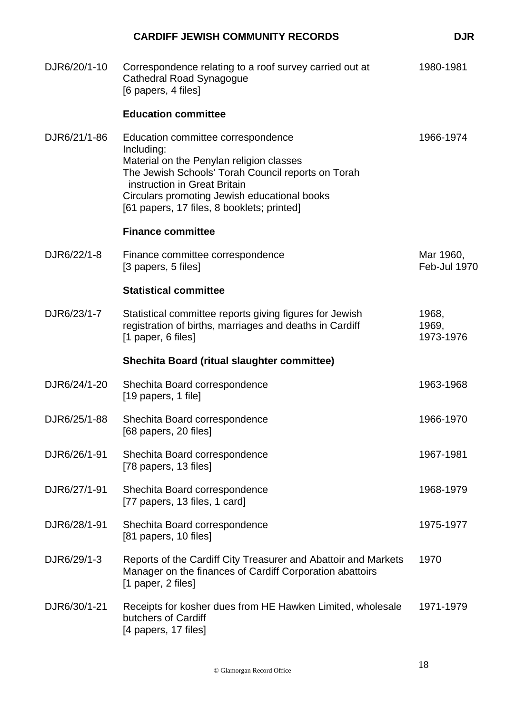|              | <b>CARDIFF JEWISH COMMUNITY RECORDS</b>                                                                                                                                                                                                                                          | <b>DJR</b>                  |
|--------------|----------------------------------------------------------------------------------------------------------------------------------------------------------------------------------------------------------------------------------------------------------------------------------|-----------------------------|
| DJR6/20/1-10 | Correspondence relating to a roof survey carried out at<br><b>Cathedral Road Synagogue</b><br>[6 papers, 4 files]                                                                                                                                                                | 1980-1981                   |
|              | <b>Education committee</b>                                                                                                                                                                                                                                                       |                             |
| DJR6/21/1-86 | Education committee correspondence<br>Including:<br>Material on the Penylan religion classes<br>The Jewish Schools' Torah Council reports on Torah<br>instruction in Great Britain<br>Circulars promoting Jewish educational books<br>[61 papers, 17 files, 8 booklets; printed] | 1966-1974                   |
|              | <b>Finance committee</b>                                                                                                                                                                                                                                                         |                             |
| DJR6/22/1-8  | Finance committee correspondence<br>[3 papers, 5 files]                                                                                                                                                                                                                          | Mar 1960,<br>Feb-Jul 1970   |
|              | <b>Statistical committee</b>                                                                                                                                                                                                                                                     |                             |
| DJR6/23/1-7  | Statistical committee reports giving figures for Jewish<br>registration of births, marriages and deaths in Cardiff<br>[1 paper, 6 files]                                                                                                                                         | 1968,<br>1969,<br>1973-1976 |
|              | <b>Shechita Board (ritual slaughter committee)</b>                                                                                                                                                                                                                               |                             |
| DJR6/24/1-20 | Shechita Board correspondence<br>[19 papers, 1 file]                                                                                                                                                                                                                             | 1963-1968                   |
| DJR6/25/1-88 | Shechita Board correspondence<br>[68 papers, 20 files]                                                                                                                                                                                                                           | 1966-1970                   |
| DJR6/26/1-91 | Shechita Board correspondence<br>[78 papers, 13 files]                                                                                                                                                                                                                           | 1967-1981                   |
| DJR6/27/1-91 | Shechita Board correspondence<br>[77 papers, 13 files, 1 card]                                                                                                                                                                                                                   | 1968-1979                   |
| DJR6/28/1-91 | Shechita Board correspondence<br>[81 papers, 10 files]                                                                                                                                                                                                                           | 1975-1977                   |
| DJR6/29/1-3  | Reports of the Cardiff City Treasurer and Abattoir and Markets<br>Manager on the finances of Cardiff Corporation abattoirs<br>[1 paper, 2 files]                                                                                                                                 | 1970                        |
| DJR6/30/1-21 | Receipts for kosher dues from HE Hawken Limited, wholesale<br>butchers of Cardiff<br>[4 papers, 17 files]                                                                                                                                                                        | 1971-1979                   |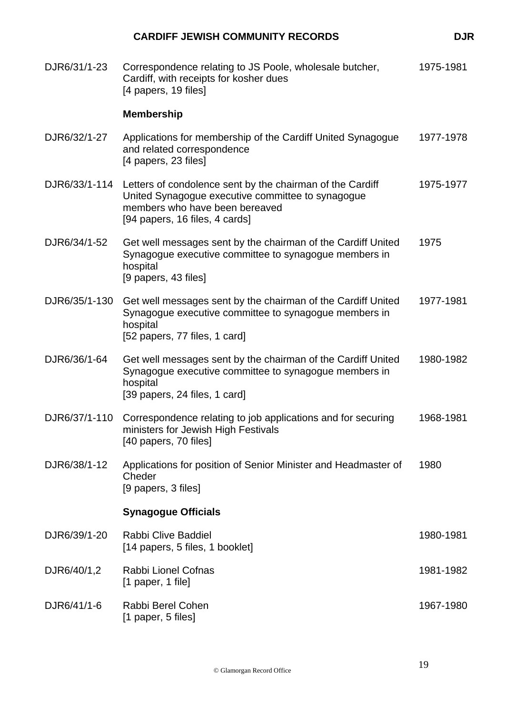|               | <b>CARDIFF JEWISH COMMUNITY RECORDS</b>                                                                                                                                            | <b>DJR</b> |
|---------------|------------------------------------------------------------------------------------------------------------------------------------------------------------------------------------|------------|
| DJR6/31/1-23  | Correspondence relating to JS Poole, wholesale butcher,<br>Cardiff, with receipts for kosher dues<br>[4 papers, 19 files]                                                          | 1975-1981  |
|               | <b>Membership</b>                                                                                                                                                                  |            |
| DJR6/32/1-27  | Applications for membership of the Cardiff United Synagogue<br>and related correspondence<br>[4 papers, 23 files]                                                                  | 1977-1978  |
| DJR6/33/1-114 | Letters of condolence sent by the chairman of the Cardiff<br>United Synagogue executive committee to synagogue<br>members who have been bereaved<br>[94 papers, 16 files, 4 cards] | 1975-1977  |
| DJR6/34/1-52  | Get well messages sent by the chairman of the Cardiff United<br>Synagogue executive committee to synagogue members in<br>hospital<br>[9 papers, 43 files]                          | 1975       |
| DJR6/35/1-130 | Get well messages sent by the chairman of the Cardiff United<br>Synagogue executive committee to synagogue members in<br>hospital<br>[52 papers, 77 files, 1 card]                 | 1977-1981  |
| DJR6/36/1-64  | Get well messages sent by the chairman of the Cardiff United<br>Synagogue executive committee to synagogue members in<br>hospital<br>[39 papers, 24 files, 1 card]                 | 1980-1982  |
|               | DJR6/37/1-110 Correspondence relating to job applications and for securing<br>ministers for Jewish High Festivals<br>[40 papers, 70 files]                                         | 1968-1981  |
| DJR6/38/1-12  | Applications for position of Senior Minister and Headmaster of<br>Cheder<br>[9 papers, 3 files]                                                                                    | 1980       |
|               | <b>Synagogue Officials</b>                                                                                                                                                         |            |
| DJR6/39/1-20  | <b>Rabbi Clive Baddiel</b><br>[14 papers, 5 files, 1 booklet]                                                                                                                      | 1980-1981  |
| DJR6/40/1,2   | Rabbi Lionel Cofnas<br>$[1$ paper, 1 file]                                                                                                                                         | 1981-1982  |
| DJR6/41/1-6   | Rabbi Berel Cohen<br>$[1$ paper, 5 files]                                                                                                                                          | 1967-1980  |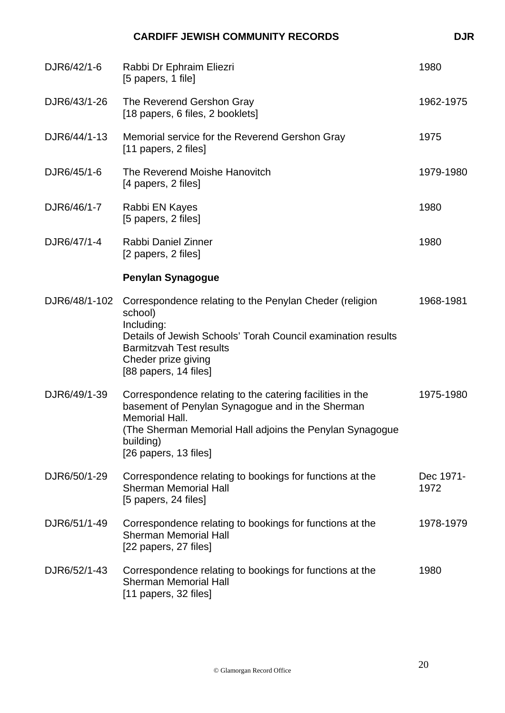|               | <b>CARDIFF JEWISH COMMUNITY RECORDS</b>                                                                                                                                                                                            | <b>DJR</b>        |
|---------------|------------------------------------------------------------------------------------------------------------------------------------------------------------------------------------------------------------------------------------|-------------------|
| DJR6/42/1-6   | Rabbi Dr Ephraim Eliezri<br>[5 papers, 1 file]                                                                                                                                                                                     | 1980              |
| DJR6/43/1-26  | The Reverend Gershon Gray<br>[18 papers, 6 files, 2 booklets]                                                                                                                                                                      | 1962-1975         |
| DJR6/44/1-13  | Memorial service for the Reverend Gershon Gray<br>[11 papers, 2 files]                                                                                                                                                             | 1975              |
| DJR6/45/1-6   | The Reverend Moishe Hanovitch<br>[4 papers, 2 files]                                                                                                                                                                               | 1979-1980         |
| DJR6/46/1-7   | Rabbi EN Kayes<br>[5 papers, 2 files]                                                                                                                                                                                              | 1980              |
| DJR6/47/1-4   | Rabbi Daniel Zinner<br>[2 papers, 2 files]                                                                                                                                                                                         | 1980              |
|               | <b>Penylan Synagogue</b>                                                                                                                                                                                                           |                   |
| DJR6/48/1-102 | Correspondence relating to the Penylan Cheder (religion<br>school)<br>Including:<br>Details of Jewish Schools' Torah Council examination results<br><b>Barmitzvah Test results</b><br>Cheder prize giving<br>[88 papers, 14 files] | 1968-1981         |
| DJR6/49/1-39  | Correspondence relating to the catering facilities in the<br>basement of Penylan Synagogue and in the Sherman<br>Memorial Hall.<br>(The Sherman Memorial Hall adjoins the Penylan Synagogue<br>building)<br>[26 papers, 13 files]  | 1975-1980         |
| DJR6/50/1-29  | Correspondence relating to bookings for functions at the<br><b>Sherman Memorial Hall</b><br>[5 papers, 24 files]                                                                                                                   | Dec 1971-<br>1972 |
| DJR6/51/1-49  | Correspondence relating to bookings for functions at the<br><b>Sherman Memorial Hall</b><br>[22 papers, 27 files]                                                                                                                  | 1978-1979         |
| DJR6/52/1-43  | Correspondence relating to bookings for functions at the<br><b>Sherman Memorial Hall</b><br>[11 papers, 32 files]                                                                                                                  | 1980              |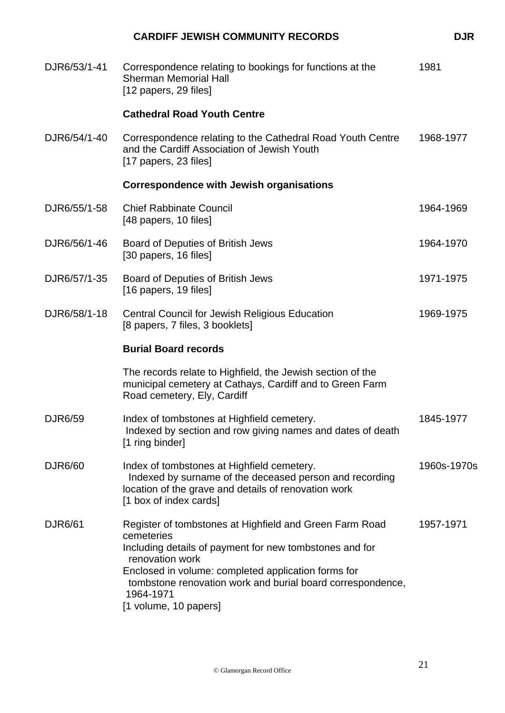|                | <b>CARDIFF JEWISH COMMUNITY RECORDS</b>                                                                                                                                                                                                                                                                        | <b>DJR</b>  |
|----------------|----------------------------------------------------------------------------------------------------------------------------------------------------------------------------------------------------------------------------------------------------------------------------------------------------------------|-------------|
| DJR6/53/1-41   | Correspondence relating to bookings for functions at the<br><b>Sherman Memorial Hall</b><br>[12 papers, 29 files]                                                                                                                                                                                              | 1981        |
|                | <b>Cathedral Road Youth Centre</b>                                                                                                                                                                                                                                                                             |             |
| DJR6/54/1-40   | Correspondence relating to the Cathedral Road Youth Centre<br>and the Cardiff Association of Jewish Youth<br>[17 papers, 23 files]                                                                                                                                                                             | 1968-1977   |
|                | <b>Correspondence with Jewish organisations</b>                                                                                                                                                                                                                                                                |             |
| DJR6/55/1-58   | <b>Chief Rabbinate Council</b><br>[48 papers, 10 files]                                                                                                                                                                                                                                                        | 1964-1969   |
| DJR6/56/1-46   | Board of Deputies of British Jews<br>[30 papers, 16 files]                                                                                                                                                                                                                                                     | 1964-1970   |
| DJR6/57/1-35   | Board of Deputies of British Jews<br>[16 papers, 19 files]                                                                                                                                                                                                                                                     | 1971-1975   |
| DJR6/58/1-18   | <b>Central Council for Jewish Religious Education</b><br>[8 papers, 7 files, 3 booklets]                                                                                                                                                                                                                       | 1969-1975   |
|                | <b>Burial Board records</b>                                                                                                                                                                                                                                                                                    |             |
|                | The records relate to Highfield, the Jewish section of the<br>municipal cemetery at Cathays, Cardiff and to Green Farm<br>Road cemetery, Ely, Cardiff                                                                                                                                                          |             |
| <b>DJR6/59</b> | Index of tombstones at Highfield cemetery.<br>Indexed by section and row giving names and dates of death<br>[1 ring binder]                                                                                                                                                                                    | 1845-1977   |
| <b>DJR6/60</b> | Index of tombstones at Highfield cemetery.<br>Indexed by surname of the deceased person and recording<br>location of the grave and details of renovation work<br>[1 box of index cards]                                                                                                                        | 1960s-1970s |
| <b>DJR6/61</b> | Register of tombstones at Highfield and Green Farm Road<br>cemeteries<br>Including details of payment for new tombstones and for<br>renovation work<br>Enclosed in volume: completed application forms for<br>tombstone renovation work and burial board correspondence,<br>1964-1971<br>[1 volume, 10 papers] | 1957-1971   |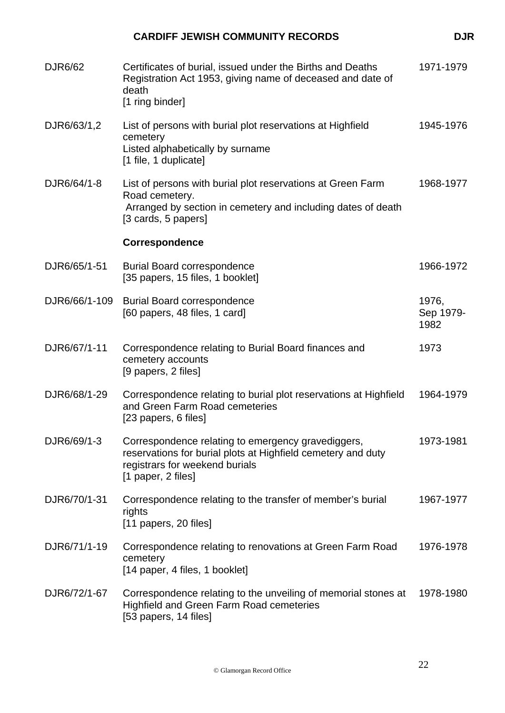| <b>DJR6/62</b> | Certificates of burial, issued under the Births and Deaths<br>Registration Act 1953, giving name of deceased and date of<br>death<br>[1 ring binder]                       | 1971-1979                  |
|----------------|----------------------------------------------------------------------------------------------------------------------------------------------------------------------------|----------------------------|
| DJR6/63/1,2    | List of persons with burial plot reservations at Highfield<br>cemetery<br>Listed alphabetically by surname<br>[1 file, 1 duplicate]                                        | 1945-1976                  |
| DJR6/64/1-8    | List of persons with burial plot reservations at Green Farm<br>Road cemetery.<br>Arranged by section in cemetery and including dates of death<br>[3 cards, 5 papers]       | 1968-1977                  |
|                | Correspondence                                                                                                                                                             |                            |
| DJR6/65/1-51   | <b>Burial Board correspondence</b><br>[35 papers, 15 files, 1 booklet]                                                                                                     | 1966-1972                  |
| DJR6/66/1-109  | <b>Burial Board correspondence</b><br>[60 papers, 48 files, 1 card]                                                                                                        | 1976,<br>Sep 1979-<br>1982 |
| DJR6/67/1-11   | Correspondence relating to Burial Board finances and<br>cemetery accounts<br>[9 papers, 2 files]                                                                           | 1973                       |
| DJR6/68/1-29   | Correspondence relating to burial plot reservations at Highfield<br>and Green Farm Road cemeteries<br>[23 papers, 6 files]                                                 | 1964-1979                  |
| DJR6/69/1-3    | Correspondence relating to emergency gravediggers,<br>reservations for burial plots at Highfield cemetery and duty<br>registrars for weekend burials<br>[1 paper, 2 files] | 1973-1981                  |
| DJR6/70/1-31   | Correspondence relating to the transfer of member's burial<br>rights<br>$[11$ papers, 20 files]                                                                            | 1967-1977                  |
| DJR6/71/1-19   | Correspondence relating to renovations at Green Farm Road<br>cemetery<br>[14 paper, 4 files, 1 booklet]                                                                    | 1976-1978                  |
| DJR6/72/1-67   | Correspondence relating to the unveiling of memorial stones at<br>Highfield and Green Farm Road cemeteries<br>[53 papers, 14 files]                                        | 1978-1980                  |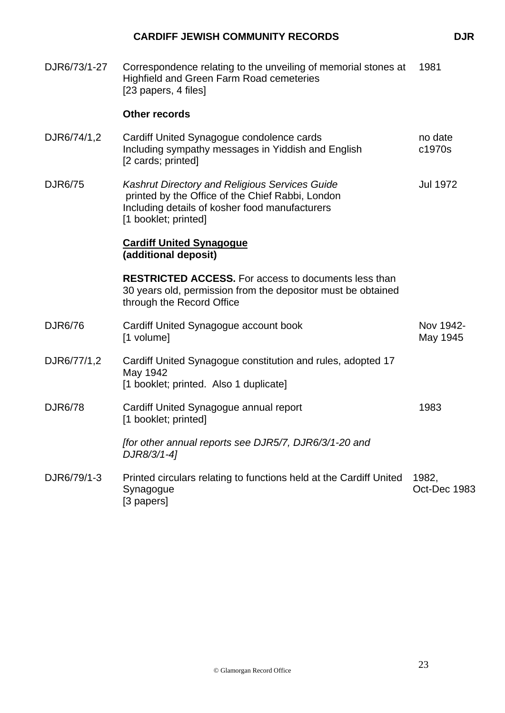| DJR6/73/1-27   | Correspondence relating to the unveiling of memorial stones at<br><b>Highfield and Green Farm Road cemeteries</b><br>[23 papers, 4 files]                                           | 1981                  |
|----------------|-------------------------------------------------------------------------------------------------------------------------------------------------------------------------------------|-----------------------|
|                | <b>Other records</b>                                                                                                                                                                |                       |
| DJR6/74/1,2    | Cardiff United Synagogue condolence cards<br>Including sympathy messages in Yiddish and English<br>[2 cards; printed]                                                               | no date<br>c1970s     |
| <b>DJR6/75</b> | <b>Kashrut Directory and Religious Services Guide</b><br>printed by the Office of the Chief Rabbi, London<br>Including details of kosher food manufacturers<br>[1 booklet; printed] | <b>Jul 1972</b>       |
|                | <b>Cardiff United Synagogue</b><br>(additional deposit)                                                                                                                             |                       |
|                | <b>RESTRICTED ACCESS.</b> For access to documents less than<br>30 years old, permission from the depositor must be obtained<br>through the Record Office                            |                       |
| <b>DJR6/76</b> | Cardiff United Synagogue account book<br>[1 volume]                                                                                                                                 | Nov 1942-<br>May 1945 |
| DJR6/77/1,2    | Cardiff United Synagogue constitution and rules, adopted 17<br>May 1942<br>[1 booklet; printed. Also 1 duplicate]                                                                   |                       |
| <b>DJR6/78</b> | Cardiff United Synagogue annual report<br>[1 booklet; printed]                                                                                                                      | 1983                  |
|                | ffor other annual reports see DJR5/7, DJR6/3/1-20 and<br>DJR8/3/1-4]                                                                                                                |                       |
| DJR6/79/1-3    | Printed circulars relating to functions held at the Cardiff United<br>Synagogue<br>[3 papers]                                                                                       | 1982,<br>Oct-Dec 1983 |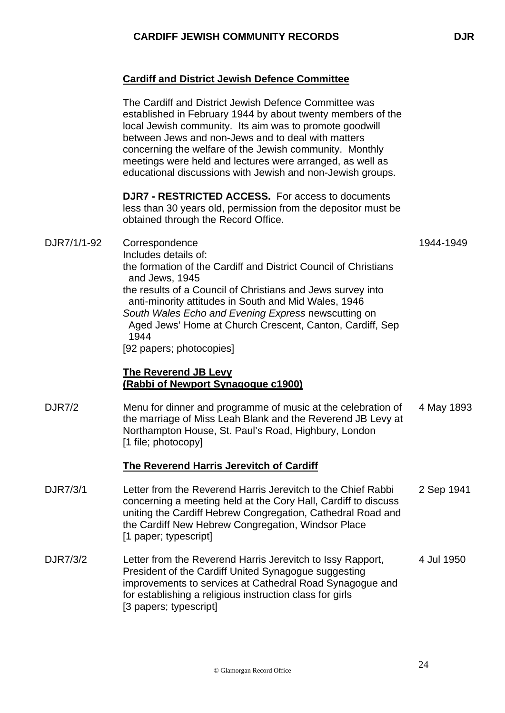### **Cardiff and District Jewish Defence Committee**

The Cardiff and District Jewish Defence Committee was established in February 1944 by about twenty members of the local Jewish community. Its aim was to promote goodwill between Jews and non-Jews and to deal with matters concerning the welfare of the Jewish community. Monthly meetings were held and lectures were arranged, as well as educational discussions with Jewish and non-Jewish groups.

**DJR7 - RESTRICTED ACCESS.** For access to documents less than 30 years old, permission from the depositor must be obtained through the Record Office.

DJR7/1/1-92 Correspondence Includes details of: the formation of the Cardiff and District Council of Christians and Jews, 1945 the results of a Council of Christians and Jews survey into anti-minority attitudes in South and Mid Wales, 1946 *South Wales Echo and Evening Express* newscutting on Aged Jews' Home at Church Crescent, Canton, Cardiff, Sep 1944 [92 papers; photocopies]

#### **The Reverend JB Levy (Rabbi of Newport Synagogue c1900)**

DJR7/2 Menu for dinner and programme of music at the celebration of the marriage of Miss Leah Blank and the Reverend JB Levy at Northampton House, St. Paul's Road, Highbury, London [1 file; photocopy] 4 May 1893

#### **The Reverend Harris Jerevitch of Cardiff**

- DJR7/3/1 Letter from the Reverend Harris Jerevitch to the Chief Rabbi concerning a meeting held at the Cory Hall, Cardiff to discuss uniting the Cardiff Hebrew Congregation, Cathedral Road and the Cardiff New Hebrew Congregation, Windsor Place [1 paper; typescript] 2 Sep 1941
- DJR7/3/2 Letter from the Reverend Harris Jerevitch to Issy Rapport, President of the Cardiff United Synagogue suggesting improvements to services at Cathedral Road Synagogue and for establishing a religious instruction class for girls [3 papers; typescript] 4 Jul 1950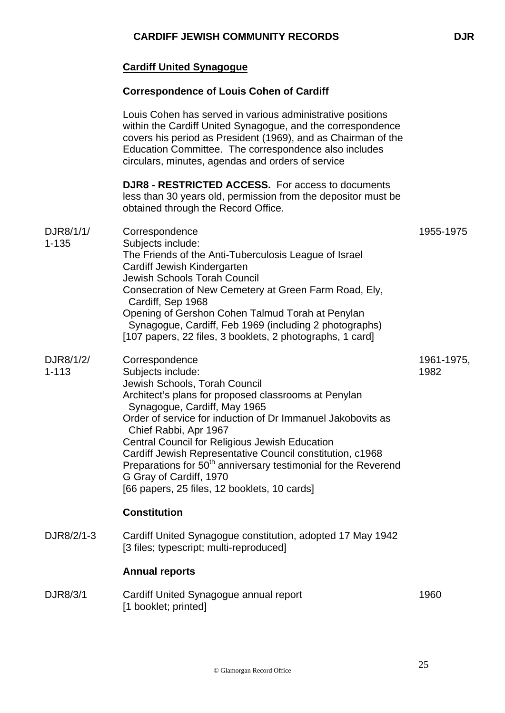# **Cardiff United Synagogue**

### **Correspondence of Louis Cohen of Cardiff**

|                        | Louis Cohen has served in various administrative positions<br>within the Cardiff United Synagogue, and the correspondence<br>covers his period as President (1969), and as Chairman of the<br>Education Committee. The correspondence also includes<br>circulars, minutes, agendas and orders of service                                                                                                                                                                                                                     |                    |
|------------------------|------------------------------------------------------------------------------------------------------------------------------------------------------------------------------------------------------------------------------------------------------------------------------------------------------------------------------------------------------------------------------------------------------------------------------------------------------------------------------------------------------------------------------|--------------------|
|                        | <b>DJR8 - RESTRICTED ACCESS.</b> For access to documents<br>less than 30 years old, permission from the depositor must be<br>obtained through the Record Office.                                                                                                                                                                                                                                                                                                                                                             |                    |
| DJR8/1/1/<br>$1 - 135$ | Correspondence<br>Subjects include:<br>The Friends of the Anti-Tuberculosis League of Israel<br>Cardiff Jewish Kindergarten<br>Jewish Schools Torah Council<br>Consecration of New Cemetery at Green Farm Road, Ely,<br>Cardiff, Sep 1968<br>Opening of Gershon Cohen Talmud Torah at Penylan<br>Synagogue, Cardiff, Feb 1969 (including 2 photographs)<br>[107 papers, 22 files, 3 booklets, 2 photographs, 1 card]                                                                                                         | 1955-1975          |
| DJR8/1/2/<br>$1 - 113$ | Correspondence<br>Subjects include:<br>Jewish Schools, Torah Council<br>Architect's plans for proposed classrooms at Penylan<br>Synagogue, Cardiff, May 1965<br>Order of service for induction of Dr Immanuel Jakobovits as<br>Chief Rabbi, Apr 1967<br>Central Council for Religious Jewish Education<br>Cardiff Jewish Representative Council constitution, c1968<br>Preparations for 50 <sup>th</sup> anniversary testimonial for the Reverend<br>G Gray of Cardiff, 1970<br>[66 papers, 25 files, 12 booklets, 10 cards] | 1961-1975,<br>1982 |
|                        | <b>Constitution</b>                                                                                                                                                                                                                                                                                                                                                                                                                                                                                                          |                    |
| DJR8/2/1-3             | Cardiff United Synagogue constitution, adopted 17 May 1942<br>[3 files; typescript; multi-reproduced]                                                                                                                                                                                                                                                                                                                                                                                                                        |                    |
|                        | <b>Annual reports</b>                                                                                                                                                                                                                                                                                                                                                                                                                                                                                                        |                    |
| DJR8/3/1               | Cardiff United Synagogue annual report<br>[1 booklet; printed]                                                                                                                                                                                                                                                                                                                                                                                                                                                               | 1960               |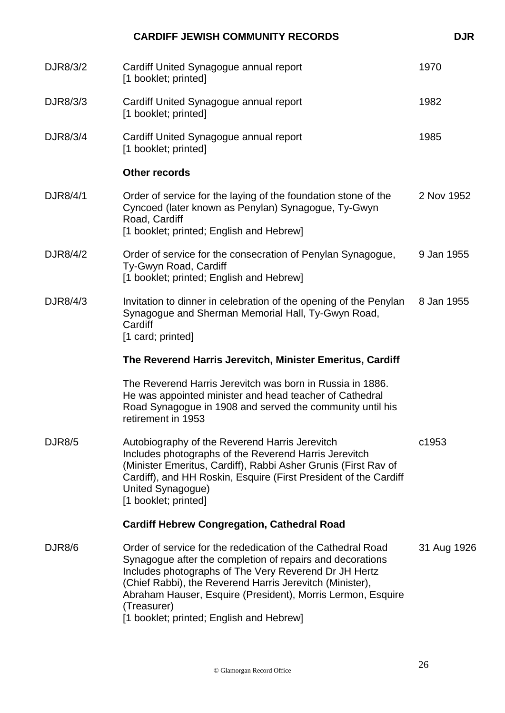| <b>CARDIFF JEWISH COMMUNITY RECORDS</b>                                                                                                                                                                                                                                                                                                                                 | <b>DJR</b>  |
|-------------------------------------------------------------------------------------------------------------------------------------------------------------------------------------------------------------------------------------------------------------------------------------------------------------------------------------------------------------------------|-------------|
| Cardiff United Synagogue annual report<br>[1 booklet; printed]                                                                                                                                                                                                                                                                                                          | 1970        |
| Cardiff United Synagogue annual report<br>[1 booklet; printed]                                                                                                                                                                                                                                                                                                          | 1982        |
| Cardiff United Synagogue annual report<br>[1 booklet; printed]                                                                                                                                                                                                                                                                                                          | 1985        |
| <b>Other records</b>                                                                                                                                                                                                                                                                                                                                                    |             |
| Order of service for the laying of the foundation stone of the<br>Cyncoed (later known as Penylan) Synagogue, Ty-Gwyn<br>Road, Cardiff<br>[1 booklet; printed; English and Hebrew]                                                                                                                                                                                      | 2 Nov 1952  |
| Order of service for the consecration of Penylan Synagogue,<br>Ty-Gwyn Road, Cardiff<br>[1 booklet; printed; English and Hebrew]                                                                                                                                                                                                                                        | 9 Jan 1955  |
| Invitation to dinner in celebration of the opening of the Penylan<br>Synagogue and Sherman Memorial Hall, Ty-Gwyn Road,<br>Cardiff<br>[1 card; printed]                                                                                                                                                                                                                 | 8 Jan 1955  |
| The Reverend Harris Jerevitch, Minister Emeritus, Cardiff                                                                                                                                                                                                                                                                                                               |             |
| The Reverend Harris Jerevitch was born in Russia in 1886.<br>He was appointed minister and head teacher of Cathedral<br>Road Synagogue in 1908 and served the community until his<br>retirement in 1953                                                                                                                                                                 |             |
| Autobiography of the Reverend Harris Jerevitch<br>Includes photographs of the Reverend Harris Jerevitch<br>(Minister Emeritus, Cardiff), Rabbi Asher Grunis (First Rav of<br>Cardiff), and HH Roskin, Esquire (First President of the Cardiff<br>United Synagogue)<br>[1 booklet; printed]                                                                              | c1953       |
| <b>Cardiff Hebrew Congregation, Cathedral Road</b>                                                                                                                                                                                                                                                                                                                      |             |
| Order of service for the rededication of the Cathedral Road<br>Synagogue after the completion of repairs and decorations<br>Includes photographs of The Very Reverend Dr JH Hertz<br>(Chief Rabbi), the Reverend Harris Jerevitch (Minister),<br>Abraham Hauser, Esquire (President), Morris Lermon, Esquire<br>(Treasurer)<br>[1 booklet; printed; English and Hebrew] | 31 Aug 1926 |
|                                                                                                                                                                                                                                                                                                                                                                         |             |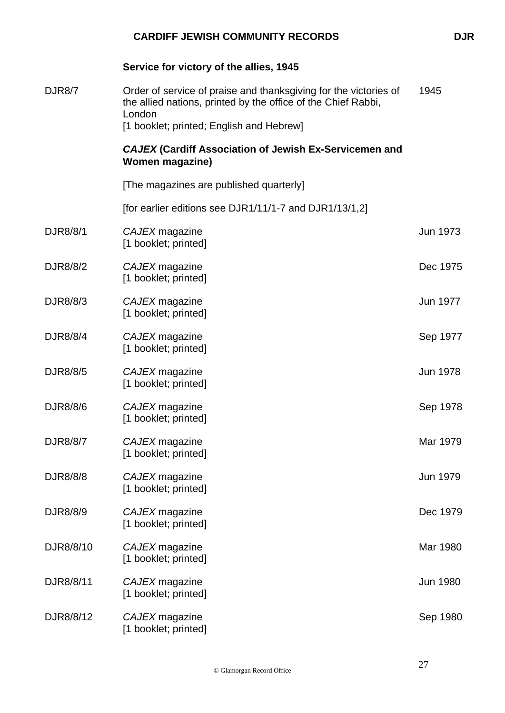|               | Service for victory of the allies, 1945                                                                                                     |                 |
|---------------|---------------------------------------------------------------------------------------------------------------------------------------------|-----------------|
| <b>DJR8/7</b> | Order of service of praise and thanksgiving for the victories of<br>the allied nations, printed by the office of the Chief Rabbi,<br>London | 1945            |
|               | [1 booklet; printed; English and Hebrew]                                                                                                    |                 |
|               | <b>CAJEX (Cardiff Association of Jewish Ex-Servicemen and</b><br><b>Women magazine)</b>                                                     |                 |
|               | [The magazines are published quarterly]                                                                                                     |                 |
|               | [for earlier editions see DJR1/11/1-7 and DJR1/13/1,2]                                                                                      |                 |
| DJR8/8/1      | CAJEX magazine<br>[1 booklet; printed]                                                                                                      | Jun 1973        |
| DJR8/8/2      | CAJEX magazine<br>[1 booklet; printed]                                                                                                      | Dec 1975        |
| DJR8/8/3      | CAJEX magazine<br>[1 booklet; printed]                                                                                                      | Jun 1977        |
| DJR8/8/4      | CAJEX magazine<br>[1 booklet; printed]                                                                                                      | Sep 1977        |
| DJR8/8/5      | CAJEX magazine<br>[1 booklet; printed]                                                                                                      | <b>Jun 1978</b> |
| DJR8/8/6      | CAJEX magazine<br>[1 booklet; printed]                                                                                                      | Sep 1978        |
| DJR8/8/7      | CAJEX magazine<br>[1 booklet; printed]                                                                                                      | Mar 1979        |
| DJR8/8/8      | CAJEX magazine<br>[1 booklet; printed]                                                                                                      | Jun 1979        |
| DJR8/8/9      | CAJEX magazine<br>[1 booklet; printed]                                                                                                      | Dec 1979        |
| DJR8/8/10     | CAJEX magazine<br>[1 booklet; printed]                                                                                                      | Mar 1980        |
| DJR8/8/11     | CAJEX magazine<br>[1 booklet; printed]                                                                                                      | Jun 1980        |
| DJR8/8/12     | CAJEX magazine<br>[1 booklet; printed]                                                                                                      | Sep 1980        |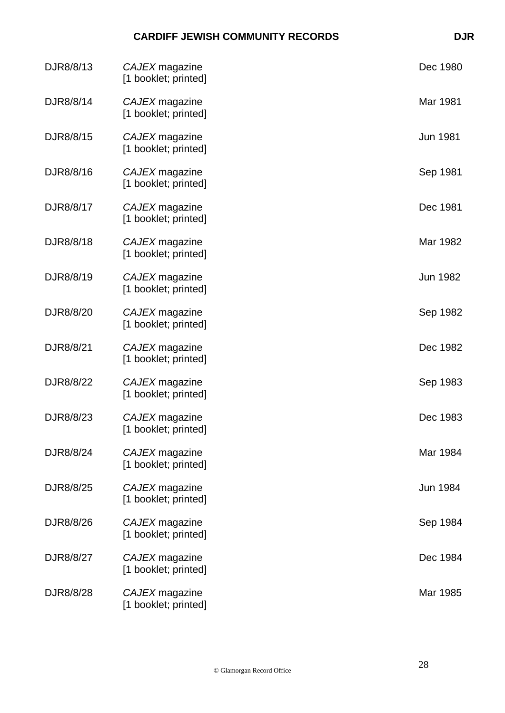| DJR8/8/13 | CAJEX magazine<br>[1 booklet; printed] | Dec 1980 |
|-----------|----------------------------------------|----------|
| DJR8/8/14 | CAJEX magazine<br>[1 booklet; printed] | Mar 1981 |
| DJR8/8/15 | CAJEX magazine<br>[1 booklet; printed] | Jun 1981 |
| DJR8/8/16 | CAJEX magazine<br>[1 booklet; printed] | Sep 1981 |
| DJR8/8/17 | CAJEX magazine<br>[1 booklet; printed] | Dec 1981 |
| DJR8/8/18 | CAJEX magazine<br>[1 booklet; printed] | Mar 1982 |
| DJR8/8/19 | CAJEX magazine<br>[1 booklet; printed] | Jun 1982 |
| DJR8/8/20 | CAJEX magazine<br>[1 booklet; printed] | Sep 1982 |
| DJR8/8/21 | CAJEX magazine<br>[1 booklet; printed] | Dec 1982 |
| DJR8/8/22 | CAJEX magazine<br>[1 booklet; printed] | Sep 1983 |
| DJR8/8/23 | CAJEX magazine<br>[1 booklet; printed] | Dec 1983 |
| DJR8/8/24 | CAJEX magazine<br>[1 booklet; printed] | Mar 1984 |
| DJR8/8/25 | CAJEX magazine<br>[1 booklet; printed] | Jun 1984 |
| DJR8/8/26 | CAJEX magazine<br>[1 booklet; printed] | Sep 1984 |
| DJR8/8/27 | CAJEX magazine<br>[1 booklet; printed] | Dec 1984 |
| DJR8/8/28 | CAJEX magazine<br>[1 booklet; printed] | Mar 1985 |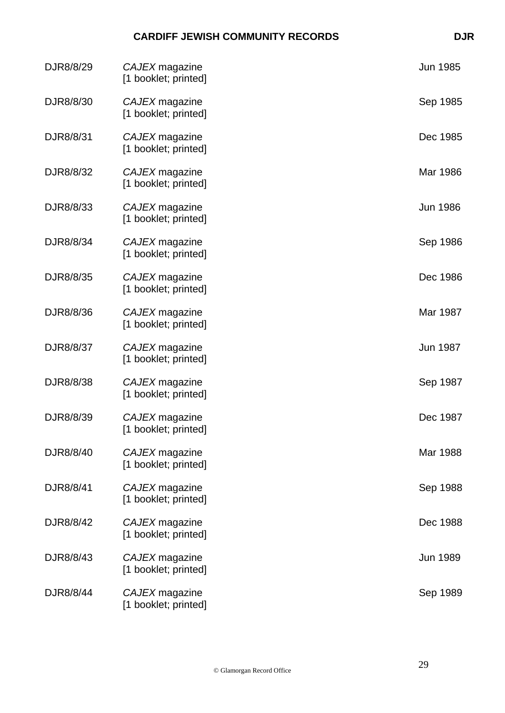| DJR8/8/29 | CAJEX magazine<br>[1 booklet; printed] | Jun 1985        |
|-----------|----------------------------------------|-----------------|
| DJR8/8/30 | CAJEX magazine<br>[1 booklet; printed] | Sep 1985        |
| DJR8/8/31 | CAJEX magazine<br>[1 booklet; printed] | Dec 1985        |
| DJR8/8/32 | CAJEX magazine<br>[1 booklet; printed] | Mar 1986        |
| DJR8/8/33 | CAJEX magazine<br>[1 booklet; printed] | <b>Jun 1986</b> |
| DJR8/8/34 | CAJEX magazine<br>[1 booklet; printed] | Sep 1986        |
| DJR8/8/35 | CAJEX magazine<br>[1 booklet; printed] | Dec 1986        |
| DJR8/8/36 | CAJEX magazine<br>[1 booklet; printed] | Mar 1987        |
| DJR8/8/37 | CAJEX magazine<br>[1 booklet; printed] | Jun 1987        |
| DJR8/8/38 | CAJEX magazine<br>[1 booklet; printed] | Sep 1987        |
| DJR8/8/39 | CAJEX magazine<br>[1 booklet; printed] | Dec 1987        |
| DJR8/8/40 | CAJEX magazine<br>[1 booklet; printed] | Mar 1988        |
| DJR8/8/41 | CAJEX magazine<br>[1 booklet; printed] | Sep 1988        |
| DJR8/8/42 | CAJEX magazine<br>[1 booklet; printed] | Dec 1988        |
| DJR8/8/43 | CAJEX magazine<br>[1 booklet; printed] | Jun 1989        |
| DJR8/8/44 | CAJEX magazine<br>[1 booklet; printed] | Sep 1989        |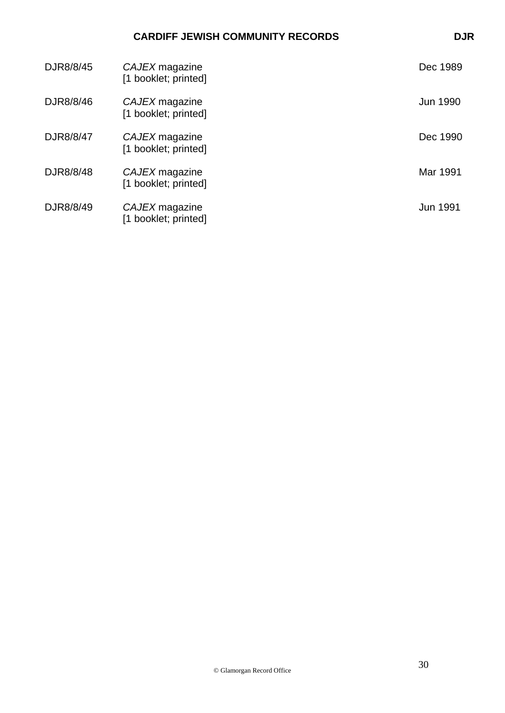| DJR8/8/45 | CAJEX magazine<br>[1 booklet; printed] | Dec 1989        |
|-----------|----------------------------------------|-----------------|
| DJR8/8/46 | CAJEX magazine<br>[1 booklet; printed] | <b>Jun 1990</b> |
| DJR8/8/47 | CAJEX magazine<br>[1 booklet; printed] | Dec 1990        |
| DJR8/8/48 | CAJEX magazine<br>[1 booklet; printed] | Mar 1991        |
| DJR8/8/49 | CAJEX magazine<br>[1 booklet; printed] | <b>Jun 1991</b> |